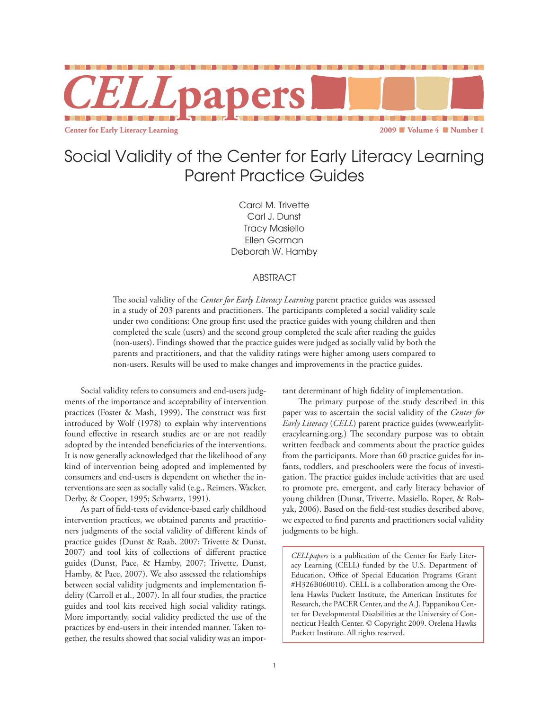

# Social Validity of the Center for Early Literacy Learning Parent Practice Guides

Carol M. Trivette Carl J. Dunst Tracy Masiello Ellen Gorman Deborah W. Hamby

## ABSTRACT

The social validity of the *Center for Early Literacy Learning* parent practice guides was assessed in a study of 203 parents and practitioners. The participants completed a social validity scale under two conditions: One group first used the practice guides with young children and then completed the scale (users) and the second group completed the scale after reading the guides (non-users). Findings showed that the practice guides were judged as socially valid by both the parents and practitioners, and that the validity ratings were higher among users compared to non-users. Results will be used to make changes and improvements in the practice guides.

Social validity refers to consumers and end-users judgments of the importance and acceptability of intervention practices (Foster & Mash, 1999). The construct was first introduced by Wolf (1978) to explain why interventions found effective in research studies are or are not readily adopted by the intended beneficiaries of the interventions. It is now generally acknowledged that the likelihood of any kind of intervention being adopted and implemented by consumers and end-users is dependent on whether the interventions are seen as socially valid (e.g., Reimers, Wacker, Derby, & Cooper, 1995; Schwartz, 1991).

As part of field-tests of evidence-based early childhood intervention practices, we obtained parents and practitioners judgments of the social validity of different kinds of practice guides (Dunst & Raab, 2007; Trivette & Dunst, 2007) and tool kits of collections of different practice guides (Dunst, Pace, & Hamby, 2007; Trivette, Dunst, Hamby, & Pace, 2007). We also assessed the relationships between social validity judgments and implementation fidelity (Carroll et al., 2007). In all four studies, the practice guides and tool kits received high social validity ratings. More importantly, social validity predicted the use of the practices by end-users in their intended manner. Taken together, the results showed that social validity was an important determinant of high fidelity of implementation.

The primary purpose of the study described in this paper was to ascertain the social validity of the *Center for Early Literacy* (*CELL*) parent practice guides (www.earlyliteracylearning.org.) The secondary purpose was to obtain written feedback and comments about the practice guides from the participants. More than 60 practice guides for infants, toddlers, and preschoolers were the focus of investigation. The practice guides include activities that are used to promote pre, emergent, and early literacy behavior of young children (Dunst, Trivette, Masiello, Roper, & Robyak, 2006). Based on the field-test studies described above, we expected to find parents and practitioners social validity judgments to be high.

*CELLpapers* is a publication of the Center for Early Literacy Learning (CELL) funded by the U.S. Department of Education, Office of Special Education Programs (Grant #H326B060010). CELL is a collaboration among the Orelena Hawks Puckett Institute, the American Institutes for Research, the PACER Center, and the A.J. Pappanikou Center for Developmental Disabilities at the University of Connecticut Health Center. © Copyright 2009. Orelena Hawks Puckett Institute. All rights reserved.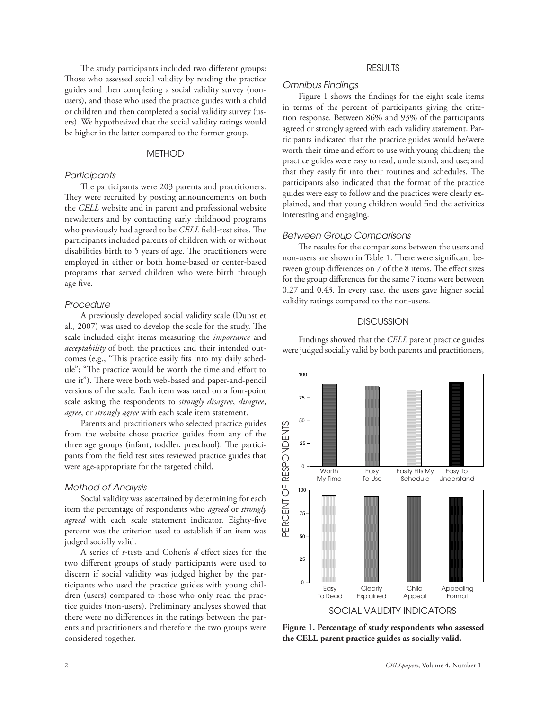The study participants included two different groups: Those who assessed social validity by reading the practice guides and then completing a social validity survey (nonusers), and those who used the practice guides with a child or children and then completed a social validity survey (users). We hypothesized that the social validity ratings would be higher in the latter compared to the former group.

### **METHOD**

#### *Participants*

The participants were 203 parents and practitioners. They were recruited by posting announcements on both the *CELL* website and in parent and professional website newsletters and by contacting early childhood programs who previously had agreed to be *CELL* field-test sites. The participants included parents of children with or without disabilities birth to 5 years of age. The practitioners were employed in either or both home-based or center-based programs that served children who were birth through age five.

#### *Procedure*

A previously developed social validity scale (Dunst et al., 2007) was used to develop the scale for the study. The scale included eight items measuring the *importance* and *acceptability* of both the practices and their intended outcomes (e.g., "This practice easily fits into my daily schedule"; "The practice would be worth the time and effort to use it"). There were both web-based and paper-and-pencil versions of the scale. Each item was rated on a four-point scale asking the respondents to *strongly disagree*, *disagree*, *agree*, or *strongly agree* with each scale item statement.

Parents and practitioners who selected practice guides from the website chose practice guides from any of the three age groups (infant, toddler, preschool). The participants from the field test sites reviewed practice guides that were age-appropriate for the targeted child.

### *Method of Analysis*

Social validity was ascertained by determining for each item the percentage of respondents who *agreed* or *strongly agreed* with each scale statement indicator. Eighty-five percent was the criterion used to establish if an item was judged socially valid.

A series of *t*-tests and Cohen's *d* effect sizes for the two different groups of study participants were used to discern if social validity was judged higher by the participants who used the practice guides with young children (users) compared to those who only read the practice guides (non-users). Preliminary analyses showed that there were no differences in the ratings between the parents and practitioners and therefore the two groups were considered together.

## RESULTS

# *Omnibus Findings*

Figure 1 shows the findings for the eight scale items in terms of the percent of participants giving the criterion response. Between 86% and 93% of the participants agreed or strongly agreed with each validity statement. Participants indicated that the practice guides would be/were worth their time and effort to use with young children; the practice guides were easy to read, understand, and use; and that they easily fit into their routines and schedules. The participants also indicated that the format of the practice guides were easy to follow and the practices were clearly explained, and that young children would find the activities interesting and engaging.

#### *Between Group Comparisons*

The results for the comparisons between the users and non-users are shown in Table 1. There were significant between group differences on 7 of the 8 items. The effect sizes for the group differences for the same 7 items were between 0.27 and 0.43. In every case, the users gave higher social validity ratings compared to the non-users.

### **DISCUSSION**

Findings showed that the *CELL* parent practice guides were judged socially valid by both parents and practitioners,



Figure 1. Percentage of study respondents who assessed **the CELL parent practice guides as socially valid.**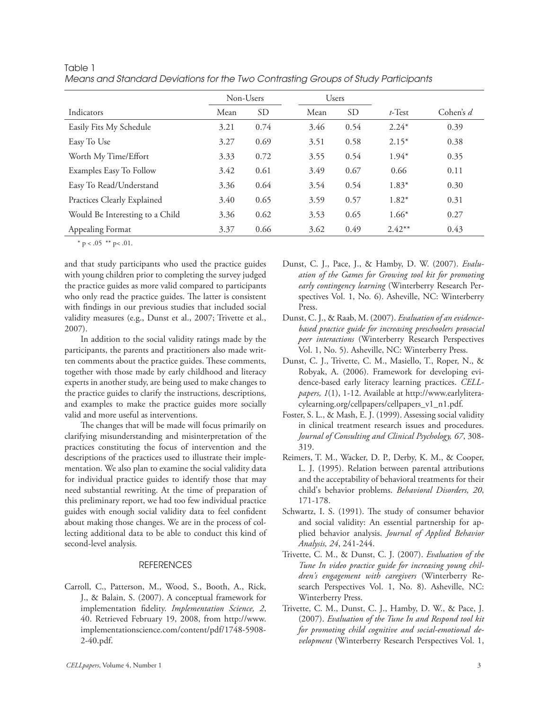|                                 | Non-Users |                 | <b>Users</b> |           |           |             |
|---------------------------------|-----------|-----------------|--------------|-----------|-----------|-------------|
| Indicators                      | Mean      | SD <sub>-</sub> | Mean         | <b>SD</b> | $t$ -Test | Cohen's $d$ |
| Easily Fits My Schedule         | 3.21      | 0.74            | 3.46         | 0.54      | $2.24*$   | 0.39        |
| Easy To Use                     | 3.27      | 0.69            | 3.51         | 0.58      | $2.15*$   | 0.38        |
| Worth My Time/Effort            | 3.33      | 0.72            | 3.55         | 0.54      | $1.94*$   | 0.35        |
| Examples Easy To Follow         | 3.42      | 0.61            | 3.49         | 0.67      | 0.66      | 0.11        |
| Easy To Read/Understand         | 3.36      | 0.64            | 3.54         | 0.54      | $1.83*$   | 0.30        |
| Practices Clearly Explained     | 3.40      | 0.65            | 3.59         | 0.57      | $1.82*$   | 0.31        |
| Would Be Interesting to a Child | 3.36      | 0.62            | 3.53         | 0.65      | $1.66*$   | 0.27        |
| Appealing Format                | 3.37      | 0.66            | 3.62         | 0.49      | $2.42**$  | 0.43        |

Table 1 *Means and Standard Deviations for the Two Contrasting Groups of Study Participants*

\*  $p < .05$  \*\*  $p < .01$ .

and that study participants who used the practice guides with young children prior to completing the survey judged the practice guides as more valid compared to participants who only read the practice guides. The latter is consistent with findings in our previous studies that included social validity measures (e.g., Dunst et al., 2007; Trivette et al., 2007).

In addition to the social validity ratings made by the participants, the parents and practitioners also made written comments about the practice guides. These comments, together with those made by early childhood and literacy experts in another study, are being used to make changes to the practice guides to clarify the instructions, descriptions, and examples to make the practice guides more socially valid and more useful as interventions.

The changes that will be made will focus primarily on clarifying misunderstanding and misinterpretation of the practices constituting the focus of intervention and the descriptions of the practices used to illustrate their implementation. We also plan to examine the social validity data for individual practice guides to identify those that may need substantial rewriting. At the time of preparation of this preliminary report, we had too few individual practice guides with enough social validity data to feel confident about making those changes. We are in the process of collecting additional data to be able to conduct this kind of second-level analysis.

# **REFERENCES**

Carroll, C., Patterson, M., Wood, S., Booth, A., Rick, J., & Balain, S. (2007). A conceptual framework for implementation fidelity. *Implementation Science, 2*, 40. Retrieved February 19, 2008, from http://www. implementationscience.com/content/pdf/1748-5908- 2-40.pdf.

- Dunst, C. J., Pace, J., & Hamby, D. W. (2007). *Evaluation of the Games for Growing tool kit for promoting early contingency learning* (Winterberry Research Perspectives Vol. 1, No. 6). Asheville, NC: Winterberry Press.
- Dunst, C. J., & Raab, M. (2007). *Evaluation of an evidencebased practice guide for increasing preschoolers prosocial peer interactions* (Winterberry Research Perspectives Vol. 1, No. 5). Asheville, NC: Winterberry Press.
- Dunst, C. J., Trivette, C. M., Masiello, T., Roper, N., & Robyak, A. (2006). Framework for developing evidence-based early literacy learning practices. *CELLpapers, 1*(1), 1-12. Available at http://www.earlyliteracylearning.org/cellpapers/cellpapers\_v1\_n1.pdf.
- Foster, S. L., & Mash, E. J. (1999). Assessing social validity in clinical treatment research issues and procedures. *Journal of Consulting and Clinical Psychology, 67*, 308- 319.
- Reimers, T. M., Wacker, D. P., Derby, K. M., & Cooper, L. J. (1995). Relation between parental attributions and the acceptability of behavioral treatments for their child's behavior problems. *Behavioral Disorders, 20*, 171-178.
- Schwartz, I. S. (1991). The study of consumer behavior and social validity: An essential partnership for applied behavior analysis. *Journal of Applied Behavior Analysis, 24*, 241-244.
- Trivette, C. M., & Dunst, C. J. (2007). *Evaluation of the Tune In video practice guide for increasing young children's engagement with caregivers* (Winterberry Research Perspectives Vol. 1, No. 8). Asheville, NC: Winterberry Press.
- Trivette, C. M., Dunst, C. J., Hamby, D. W., & Pace, J. (2007). *Evaluation of the Tune In and Respond tool kit for promoting child cognitive and social-emotional development* (Winterberry Research Perspectives Vol. 1,